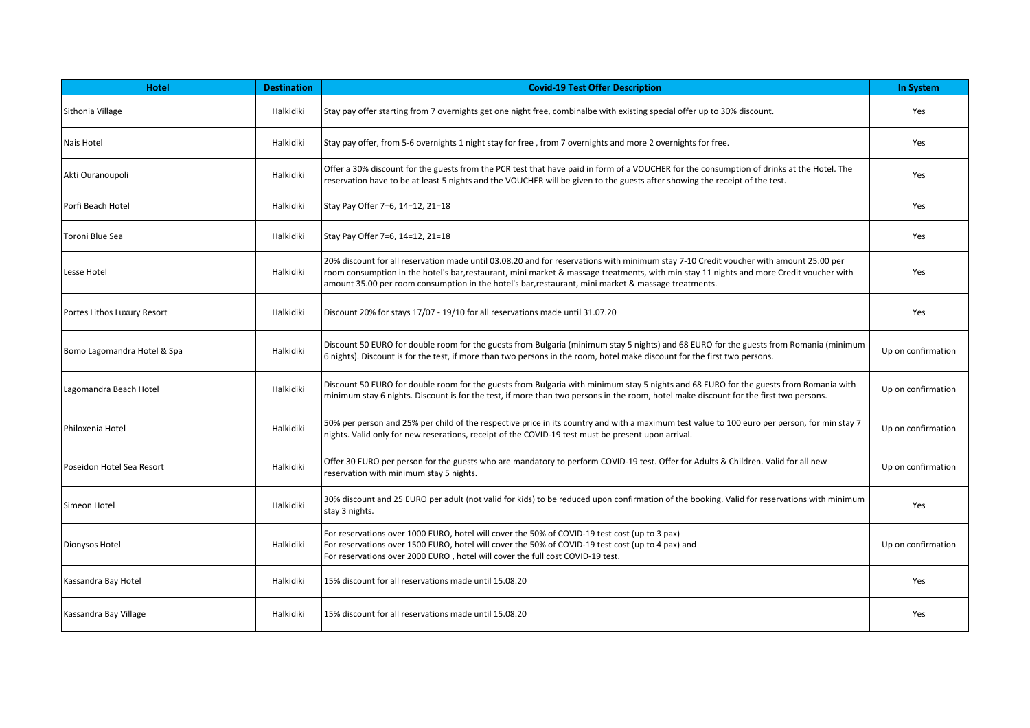| <b>Hotel</b>                | <b>Destination</b> | <b>Covid-19 Test Offer Description</b>                                                                                                                                                                                                                                                                                                                                                  | <b>In System</b>   |
|-----------------------------|--------------------|-----------------------------------------------------------------------------------------------------------------------------------------------------------------------------------------------------------------------------------------------------------------------------------------------------------------------------------------------------------------------------------------|--------------------|
| Sithonia Village            | Halkidiki          | Stay pay offer starting from 7 overnights get one night free, combinalbe with existing special offer up to 30% discount.                                                                                                                                                                                                                                                                | Yes                |
| Nais Hotel                  | Halkidiki          | Stay pay offer, from 5-6 overnights 1 night stay for free, from 7 overnights and more 2 overnights for free.                                                                                                                                                                                                                                                                            | Yes                |
| Akti Ouranoupoli            | Halkidiki          | Offer a 30% discount for the guests from the PCR test that have paid in form of a VOUCHER for the consumption of drinks at the Hotel. The<br>reservation have to be at least 5 nights and the VOUCHER will be given to the guests after showing the receipt of the test.                                                                                                                | Yes                |
| Porfi Beach Hotel           | Halkidiki          | Stay Pay Offer 7=6, 14=12, 21=18                                                                                                                                                                                                                                                                                                                                                        | Yes                |
| Toroni Blue Sea             | Halkidiki          | Stay Pay Offer 7=6, 14=12, 21=18                                                                                                                                                                                                                                                                                                                                                        | Yes                |
| Lesse Hotel                 | Halkidiki          | 20% discount for all reservation made until 03.08.20 and for reservations with minimum stay 7-10 Credit voucher with amount 25.00 per<br>room consumption in the hotel's bar, restaurant, mini market & massage treatments, with min stay 11 nights and more Credit voucher with<br>amount 35.00 per room consumption in the hotel's bar, restaurant, mini market & massage treatments. | Yes                |
| Portes Lithos Luxury Resort | Halkidiki          | Discount 20% for stays 17/07 - 19/10 for all reservations made until 31.07.20                                                                                                                                                                                                                                                                                                           | Yes                |
| Bomo Lagomandra Hotel & Spa | Halkidiki          | Discount 50 EURO for double room for the guests from Bulgaria (minimum stay 5 nights) and 68 EURO for the guests from Romania (minimum<br>6 nights). Discount is for the test, if more than two persons in the room, hotel make discount for the first two persons.                                                                                                                     | Up on confirmation |
| Lagomandra Beach Hotel      | Halkidiki          | Discount 50 EURO for double room for the guests from Bulgaria with minimum stay 5 nights and 68 EURO for the guests from Romania with<br>minimum stay 6 nights. Discount is for the test, if more than two persons in the room, hotel make discount for the first two persons.                                                                                                          | Up on confirmation |
| l Philoxenia Hotel          | Halkidiki          | 50% per person and 25% per child of the respective price in its country and with a maximum test value to 100 euro per person, for min stay 7<br>nights. Valid only for new reserations, receipt of the COVID-19 test must be present upon arrival.                                                                                                                                      | Up on confirmation |
| Poseidon Hotel Sea Resort   | Halkidiki          | Offer 30 EURO per person for the guests who are mandatory to perform COVID-19 test. Offer for Adults & Children. Valid for all new<br>reservation with minimum stay 5 nights.                                                                                                                                                                                                           | Up on confirmation |
| Simeon Hotel                | Halkidiki          | 30% discount and 25 EURO per adult (not valid for kids) to be reduced upon confirmation of the booking. Valid for reservations with minimum<br>stay 3 nights.                                                                                                                                                                                                                           | Yes                |
| Dionysos Hotel              | Halkidiki          | For reservations over 1000 EURO, hotel will cover the 50% of COVID-19 test cost (up to 3 pax)<br>For reservations over 1500 EURO, hotel will cover the 50% of COVID-19 test cost (up to 4 pax) and<br>For reservations over 2000 EURO, hotel will cover the full cost COVID-19 test.                                                                                                    | Up on confirmation |
| Kassandra Bay Hotel         | Halkidiki          | 15% discount for all reservations made until 15.08.20                                                                                                                                                                                                                                                                                                                                   | Yes                |
| Kassandra Bay Village       | Halkidiki          | 15% discount for all reservations made until 15.08.20                                                                                                                                                                                                                                                                                                                                   | Yes                |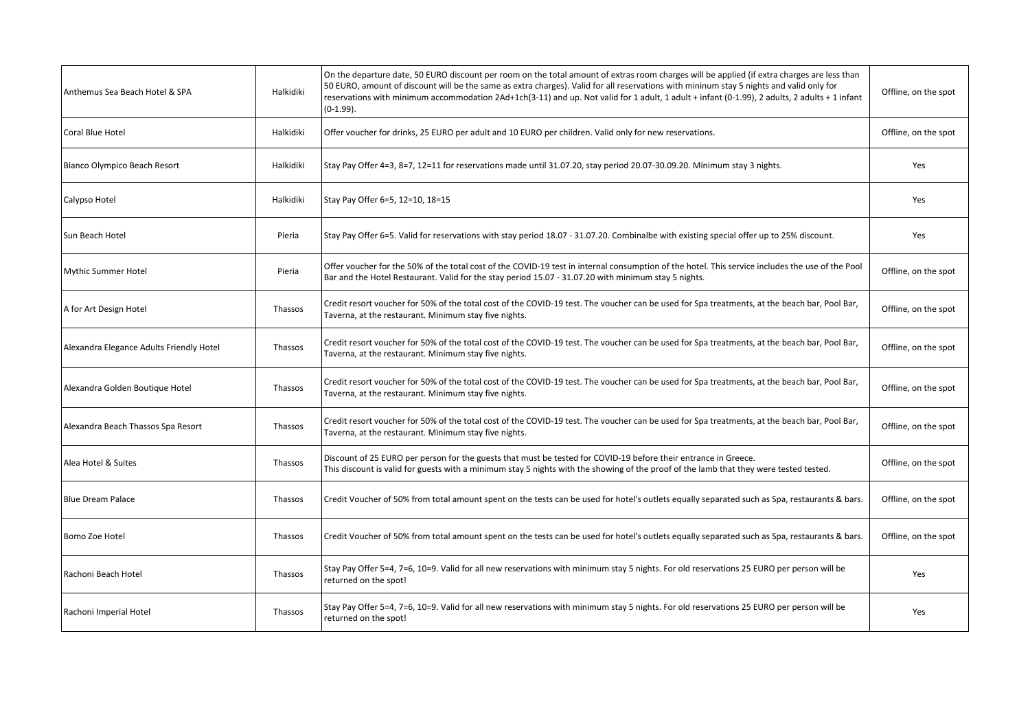| Anthemus Sea Beach Hotel & SPA           | Halkidiki | On the departure date, 50 EURO discount per room on the total amount of extras room charges will be applied (if extra charges are less than<br>50 EURO, amount of discount will be the same as extra charges). Valid for all reservations with mininum stay 5 nights and valid only for<br>reservations with minimum accommodation 2Ad+1ch(3-11) and up. Not valid for 1 adult, 1 adult + infant (0-1.99), 2 adults, 2 adults + 1 infant<br>$(0-1.99)$ . | Offline, on the spot |
|------------------------------------------|-----------|----------------------------------------------------------------------------------------------------------------------------------------------------------------------------------------------------------------------------------------------------------------------------------------------------------------------------------------------------------------------------------------------------------------------------------------------------------|----------------------|
| Coral Blue Hotel                         | Halkidiki | Offer voucher for drinks, 25 EURO per adult and 10 EURO per children. Valid only for new reservations.                                                                                                                                                                                                                                                                                                                                                   | Offline, on the spot |
| Bianco Olympico Beach Resort             | Halkidiki | Stay Pay Offer 4=3, 8=7, 12=11 for reservations made until 31.07.20, stay period 20.07-30.09.20. Minimum stay 3 nights.                                                                                                                                                                                                                                                                                                                                  | Yes                  |
| Calypso Hotel                            | Halkidiki | Stay Pay Offer 6=5, 12=10, 18=15                                                                                                                                                                                                                                                                                                                                                                                                                         | Yes                  |
| Sun Beach Hotel                          | Pieria    | Stay Pay Offer 6=5. Valid for reservations with stay period 18.07 - 31.07.20. Combinalbe with existing special offer up to 25% discount.                                                                                                                                                                                                                                                                                                                 | Yes                  |
| Mythic Summer Hotel                      | Pieria    | Offer voucher for the 50% of the total cost of the COVID-19 test in internal consumption of the hotel. This service includes the use of the Pool<br>Bar and the Hotel Restaurant. Valid for the stay period 15.07 - 31.07.20 with minimum stay 5 nights.                                                                                                                                                                                                 | Offline, on the spot |
| A for Art Design Hotel                   | Thassos   | Credit resort voucher for 50% of the total cost of the COVID-19 test. The voucher can be used for Spa treatments, at the beach bar, Pool Bar,<br>Taverna, at the restaurant. Minimum stay five nights.                                                                                                                                                                                                                                                   | Offline, on the spot |
| Alexandra Elegance Adults Friendly Hotel | Thassos   | Credit resort voucher for 50% of the total cost of the COVID-19 test. The voucher can be used for Spa treatments, at the beach bar, Pool Bar,<br>Taverna, at the restaurant. Minimum stay five nights.                                                                                                                                                                                                                                                   | Offline, on the spot |
| Alexandra Golden Boutique Hotel          | Thassos   | Credit resort voucher for 50% of the total cost of the COVID-19 test. The voucher can be used for Spa treatments, at the beach bar, Pool Bar,<br>Taverna, at the restaurant. Minimum stay five nights.                                                                                                                                                                                                                                                   | Offline, on the spot |
| Alexandra Beach Thassos Spa Resort       | Thassos   | Credit resort voucher for 50% of the total cost of the COVID-19 test. The voucher can be used for Spa treatments, at the beach bar, Pool Bar,<br>Taverna, at the restaurant. Minimum stay five nights.                                                                                                                                                                                                                                                   | Offline, on the spot |
| Alea Hotel & Suites                      | Thassos   | Discount of 25 EURO per person for the guests that must be tested for COVID-19 before their entrance in Greece.<br>This discount is valid for guests with a minimum stay 5 nights with the showing of the proof of the lamb that they were tested tested.                                                                                                                                                                                                | Offline, on the spot |
| Blue Dream Palace                        | Thassos   | Credit Voucher of 50% from total amount spent on the tests can be used for hotel's outlets equally separated such as Spa, restaurants & bars.                                                                                                                                                                                                                                                                                                            | Offline, on the spot |
| Bomo Zoe Hotel                           | Thassos   | Credit Voucher of 50% from total amount spent on the tests can be used for hotel's outlets equally separated such as Spa, restaurants & bars.                                                                                                                                                                                                                                                                                                            | Offline, on the spot |
| Rachoni Beach Hotel                      | Thassos   | Stay Pay Offer 5=4, 7=6, 10=9. Valid for all new reservations with minimum stay 5 nights. For old reservations 25 EURO per person will be<br>returned on the spot!                                                                                                                                                                                                                                                                                       | Yes                  |
| Rachoni Imperial Hotel                   | Thassos   | Stay Pay Offer 5=4, 7=6, 10=9. Valid for all new reservations with minimum stay 5 nights. For old reservations 25 EURO per person will be<br>returned on the spot!                                                                                                                                                                                                                                                                                       | Yes                  |